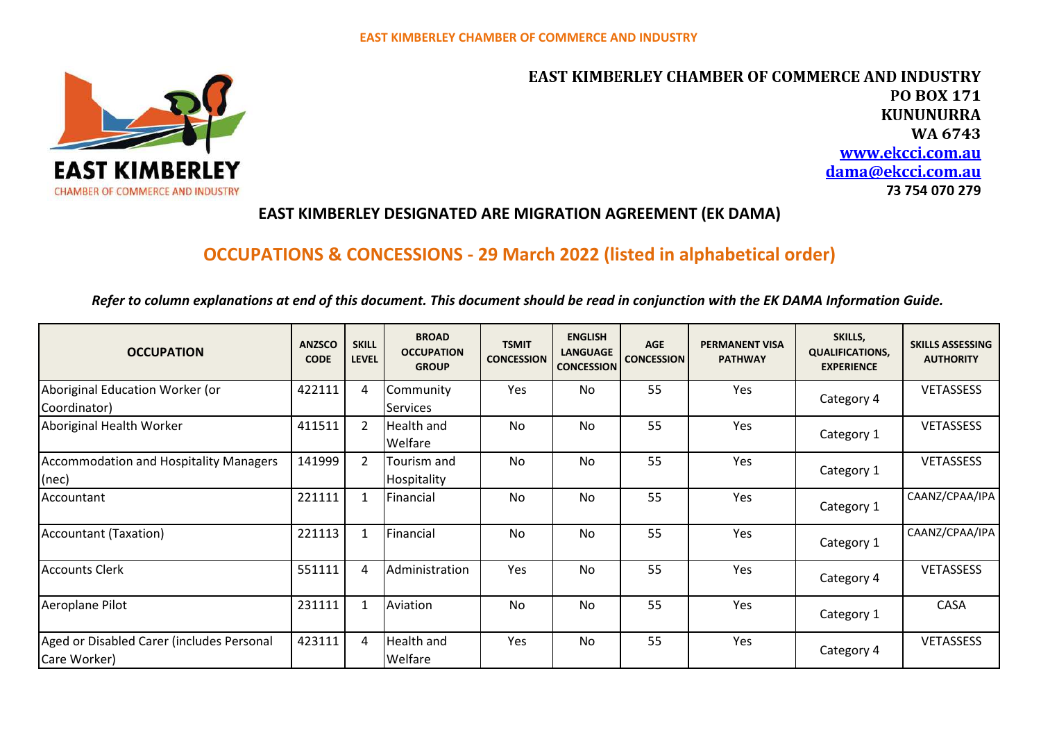

**EAST KIMBERLEY CHAMBER OF COMMERCE AND INDUSTRY PO BOX 171 KUNUNURRA** WA 6743 www.ekcci.com.au dama@ekcci.com.au 73 754 070 279

## **EAST KIMBERLEY DESIGNATED ARE MIGRATION AGREEMENT (EK DAMA)**

# **OCCUPATIONS & CONCESSIONS - 29 March 2022 (listed in alphabetical order)**

*Refer to column explanations at end of this document. This document should be read in conjunction with the EK DAMA Information Guide.*

| <b>OCCUPATION</b>                                          | <b>ANZSCO</b><br><b>CODE</b> | <b>SKILL</b><br><b>LEVEL</b> | <b>BROAD</b><br><b>OCCUPATION</b><br><b>GROUP</b> | <b>TSMIT</b><br><b>CONCESSION</b> | <b>ENGLISH</b><br><b>LANGUAGE</b><br><b>CONCESSION</b> | <b>AGE</b><br><b>CONCESSION</b> | <b>PERMANENT VISA</b><br><b>PATHWAY</b> | SKILLS,<br><b>QUALIFICATIONS,</b><br><b>EXPERIENCE</b> | <b>SKILLS ASSESSING</b><br><b>AUTHORITY</b> |
|------------------------------------------------------------|------------------------------|------------------------------|---------------------------------------------------|-----------------------------------|--------------------------------------------------------|---------------------------------|-----------------------------------------|--------------------------------------------------------|---------------------------------------------|
| Aboriginal Education Worker (or<br>Coordinator)            | 422111                       | 4                            | Community<br><b>Services</b>                      | Yes                               | No                                                     | 55                              | Yes                                     | Category 4                                             | <b>VETASSESS</b>                            |
| Aboriginal Health Worker                                   | 411511                       | 2                            | <b>Health and</b><br>Welfare                      | <b>No</b>                         | <b>No</b>                                              | 55                              | Yes                                     | Category 1                                             | <b>VETASSESS</b>                            |
| <b>Accommodation and Hospitality Managers</b><br>$ $ (nec) | 141999                       | 2                            | Tourism and<br>Hospitality                        | No                                | No                                                     | 55                              | Yes                                     | Category 1                                             | <b>VETASSESS</b>                            |
| Accountant                                                 | 221111                       |                              | Financial                                         | No                                | <b>No</b>                                              | 55                              | Yes                                     | Category 1                                             | CAANZ/CPAA/IPA                              |
| Accountant (Taxation)                                      | 221113                       | $\mathbf{1}$                 | Financial                                         | No                                | No                                                     | 55                              | Yes                                     | Category 1                                             | CAANZ/CPAA/IPA                              |
| <b>Accounts Clerk</b>                                      | 551111                       | $\overline{4}$               | Administration                                    | Yes                               | No                                                     | 55                              | Yes                                     | Category 4                                             | <b>VETASSESS</b>                            |
| Aeroplane Pilot                                            | 231111                       | 1                            | Aviation                                          | <b>No</b>                         | <b>No</b>                                              | 55                              | Yes                                     | Category 1                                             | CASA                                        |
| Aged or Disabled Carer (includes Personal<br>Care Worker)  | 423111                       | 4                            | Health and<br>Welfare                             | Yes                               | No                                                     | 55                              | Yes                                     | Category 4                                             | <b>VETASSESS</b>                            |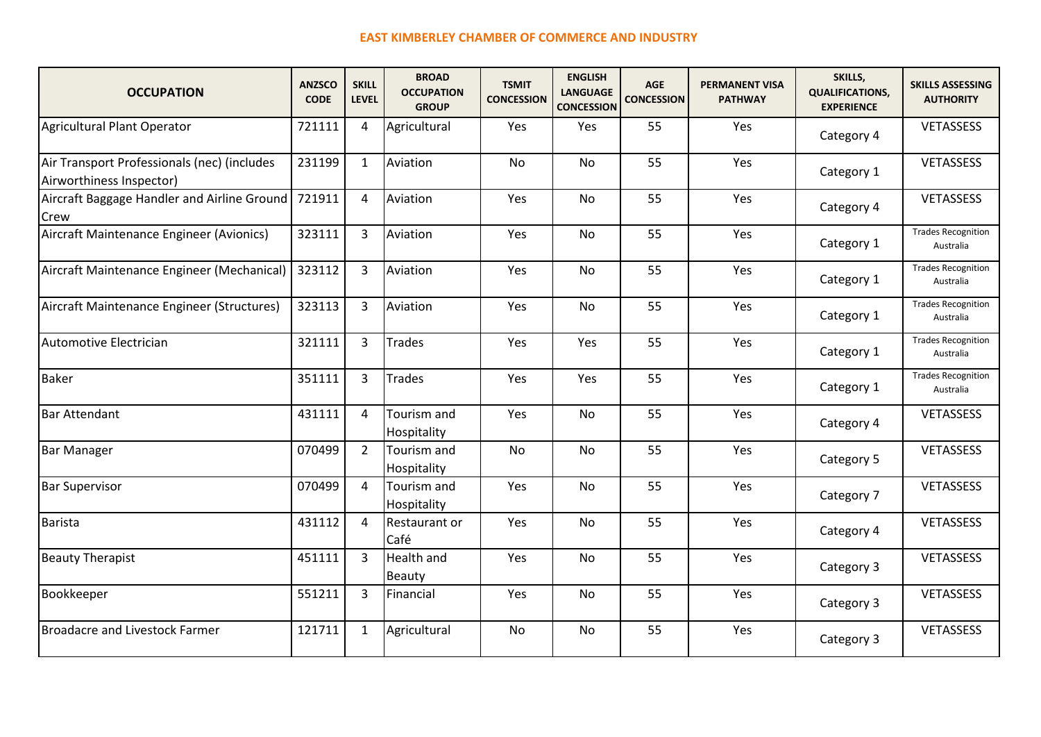| <b>OCCUPATION</b>                                                       | <b>ANZSCO</b><br><b>CODE</b> | <b>SKILL</b><br><b>LEVEL</b> | <b>BROAD</b><br><b>OCCUPATION</b><br><b>GROUP</b> | <b>TSMIT</b><br><b>CONCESSION</b> | <b>ENGLISH</b><br><b>LANGUAGE</b><br><b>CONCESSION</b> | <b>AGE</b><br><b>CONCESSION</b> | <b>PERMANENT VISA</b><br><b>PATHWAY</b> | SKILLS,<br><b>QUALIFICATIONS,</b><br><b>EXPERIENCE</b> | <b>SKILLS ASSESSING</b><br><b>AUTHORITY</b> |
|-------------------------------------------------------------------------|------------------------------|------------------------------|---------------------------------------------------|-----------------------------------|--------------------------------------------------------|---------------------------------|-----------------------------------------|--------------------------------------------------------|---------------------------------------------|
| Agricultural Plant Operator                                             | 721111                       | 4                            | Agricultural                                      | Yes                               | Yes                                                    | 55                              | Yes                                     | Category 4                                             | VETASSESS                                   |
| Air Transport Professionals (nec) (includes<br>Airworthiness Inspector) | 231199                       | 1                            | Aviation                                          | No                                | No                                                     | 55                              | Yes                                     | Category 1                                             | VETASSESS                                   |
| Aircraft Baggage Handler and Airline Ground<br>Crew                     | 721911                       | $\overline{4}$               | Aviation                                          | Yes                               | <b>No</b>                                              | 55                              | Yes                                     | Category 4                                             | VETASSESS                                   |
| Aircraft Maintenance Engineer (Avionics)                                | 323111                       | $\overline{3}$               | Aviation                                          | Yes                               | <b>No</b>                                              | 55                              | Yes                                     | Category 1                                             | <b>Trades Recognition</b><br>Australia      |
| Aircraft Maintenance Engineer (Mechanical)                              | 323112                       | 3                            | Aviation                                          | Yes                               | <b>No</b>                                              | 55                              | Yes                                     | Category 1                                             | Trades Recognition<br>Australia             |
| Aircraft Maintenance Engineer (Structures)                              | 323113                       | 3                            | Aviation                                          | Yes                               | No                                                     | 55                              | Yes                                     | Category 1                                             | <b>Trades Recognition</b><br>Australia      |
| Automotive Electrician                                                  | 321111                       | 3                            | <b>Trades</b>                                     | Yes                               | Yes                                                    | 55                              | Yes                                     | Category 1                                             | <b>Trades Recognition</b><br>Australia      |
| Baker                                                                   | 351111                       | 3                            | <b>Trades</b>                                     | Yes                               | Yes                                                    | 55                              | Yes                                     | Category 1                                             | <b>Trades Recognition</b><br>Australia      |
| <b>Bar Attendant</b>                                                    | 431111                       | 4                            | Tourism and<br>Hospitality                        | Yes                               | No                                                     | 55                              | Yes                                     | Category 4                                             | VETASSESS                                   |
| <b>Bar Manager</b>                                                      | 070499                       | $\overline{2}$               | Tourism and<br>Hospitality                        | No                                | <b>No</b>                                              | 55                              | Yes                                     | Category 5                                             | VETASSESS                                   |
| <b>Bar Supervisor</b>                                                   | 070499                       | $\overline{4}$               | Tourism and<br>Hospitality                        | Yes                               | <b>No</b>                                              | 55                              | Yes                                     | Category 7                                             | <b>VETASSESS</b>                            |
| Barista                                                                 | 431112                       | $\overline{4}$               | Restaurant or<br>Café                             | Yes                               | <b>No</b>                                              | 55                              | Yes                                     | Category 4                                             | <b>VETASSESS</b>                            |
| <b>Beauty Therapist</b>                                                 | 451111                       | 3                            | <b>Health and</b><br><b>Beauty</b>                | Yes                               | No                                                     | 55                              | Yes                                     | Category 3                                             | VETASSESS                                   |
| Bookkeeper                                                              | 551211                       | $\overline{3}$               | Financial                                         | Yes                               | <b>No</b>                                              | 55                              | Yes                                     | Category 3                                             | <b>VETASSESS</b>                            |
| Broadacre and Livestock Farmer                                          | 121711                       | 1                            | Agricultural                                      | No                                | <b>No</b>                                              | 55                              | Yes                                     | Category 3                                             | <b>VETASSESS</b>                            |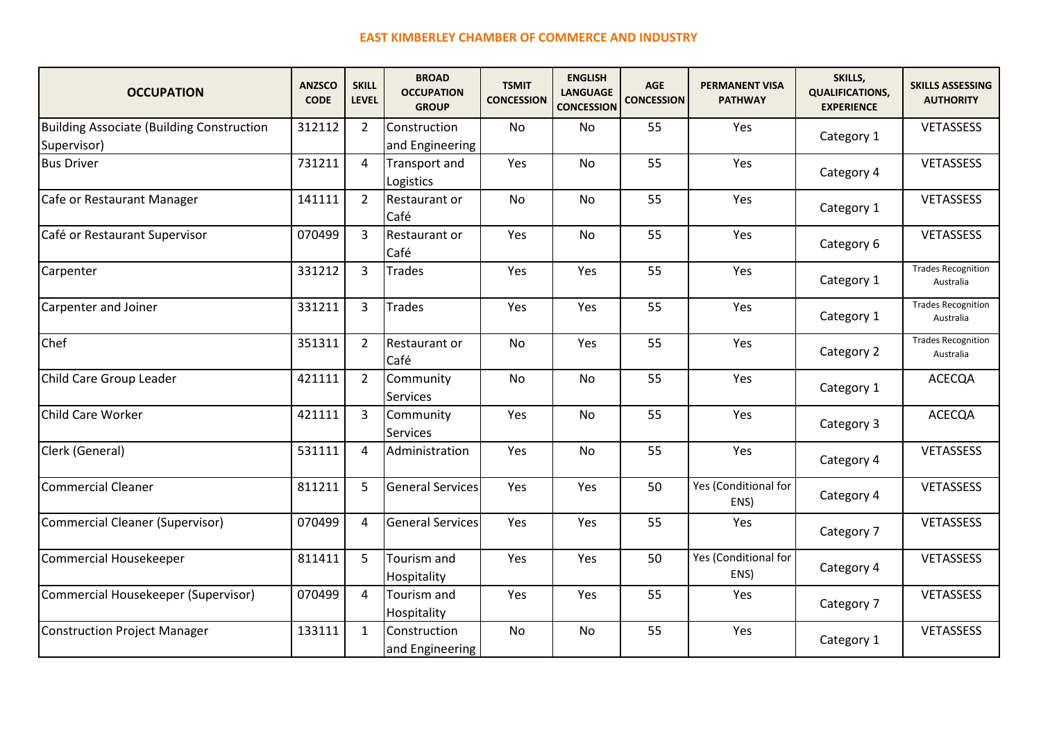| <b>OCCUPATION</b>                                        | <b>ANZSCO</b><br><b>CODE</b> | <b>SKILL</b><br><b>LEVEL</b> | <b>BROAD</b><br><b>OCCUPATION</b><br><b>GROUP</b> | <b>TSMIT</b><br><b>CONCESSION</b> | <b>ENGLISH</b><br><b>LANGUAGE</b><br><b>CONCESSION</b> | <b>AGE</b><br><b>CONCESSION</b> | <b>PERMANENT VISA</b><br><b>PATHWAY</b> | SKILLS,<br><b>QUALIFICATIONS,</b><br><b>EXPERIENCE</b> | <b>SKILLS ASSESSING</b><br><b>AUTHORITY</b> |
|----------------------------------------------------------|------------------------------|------------------------------|---------------------------------------------------|-----------------------------------|--------------------------------------------------------|---------------------------------|-----------------------------------------|--------------------------------------------------------|---------------------------------------------|
| Building Associate (Building Construction<br>Supervisor) | 312112                       | $\overline{2}$               | Construction<br>and Engineering                   | <b>No</b>                         | No.                                                    | 55                              | Yes                                     | Category 1                                             | VETASSESS                                   |
| <b>Bus Driver</b>                                        | 731211                       | $\overline{4}$               | Transport and<br>Logistics                        | Yes                               | <b>No</b>                                              | 55                              | Yes                                     | Category 4                                             | <b>VETASSESS</b>                            |
| Cafe or Restaurant Manager                               | 141111                       | $\overline{2}$               | Restaurant or<br>Café                             | No                                | <b>No</b>                                              | 55                              | Yes                                     | Category 1                                             | VETASSESS                                   |
| Café or Restaurant Supervisor                            | 070499                       | 3                            | Restaurant or<br>Café                             | Yes                               | <b>No</b>                                              | 55                              | Yes                                     | Category 6                                             | <b>VETASSESS</b>                            |
| Carpenter                                                | 331212                       | 3                            | <b>Trades</b>                                     | Yes                               | Yes                                                    | 55                              | Yes                                     | Category 1                                             | <b>Trades Recognition</b><br>Australia      |
| Carpenter and Joiner                                     | 331211                       | 3                            | Trades                                            | Yes                               | Yes                                                    | 55                              | Yes                                     | Category 1                                             | <b>Trades Recognition</b><br>Australia      |
| Chef                                                     | 351311                       | $\overline{2}$               | Restaurant or<br>Café                             | <b>No</b>                         | Yes                                                    | 55                              | Yes                                     | Category 2                                             | <b>Trades Recognition</b><br>Australia      |
| Child Care Group Leader                                  | 421111                       | $\overline{2}$               | Community<br><b>Services</b>                      | <b>No</b>                         | <b>No</b>                                              | 55                              | Yes                                     | Category 1                                             | <b>ACECQA</b>                               |
| Child Care Worker                                        | 421111                       | 3                            | Community<br><b>Services</b>                      | Yes                               | No                                                     | 55                              | Yes                                     | Category 3                                             | <b>ACECQA</b>                               |
| Clerk (General)                                          | 531111                       | $\overline{4}$               | Administration                                    | Yes                               | No                                                     | 55                              | Yes                                     | Category 4                                             | VETASSESS                                   |
| Commercial Cleaner                                       | 811211                       | 5                            | General Services                                  | Yes                               | Yes                                                    | 50                              | Yes (Conditional for<br>ENS)            | Category 4                                             | <b>VETASSESS</b>                            |
| Commercial Cleaner (Supervisor)                          | 070499                       | 4                            | General Services                                  | Yes                               | Yes                                                    | 55                              | Yes                                     | Category 7                                             | <b>VETASSESS</b>                            |
| Commercial Housekeeper                                   | 811411                       | 5                            | Tourism and<br>Hospitality                        | Yes                               | Yes                                                    | 50                              | Yes (Conditional for<br>ENS)            | Category 4                                             | <b>VETASSESS</b>                            |
| Commercial Housekeeper (Supervisor)                      | 070499                       | $\overline{a}$               | Tourism and<br>Hospitality                        | Yes                               | Yes                                                    | 55                              | Yes                                     | Category 7                                             | <b>VETASSESS</b>                            |
| Construction Project Manager                             | 133111                       | $\mathbf{1}$                 | Construction<br>and Engineering                   | <b>No</b>                         | No                                                     | 55                              | Yes                                     | Category 1                                             | <b>VETASSESS</b>                            |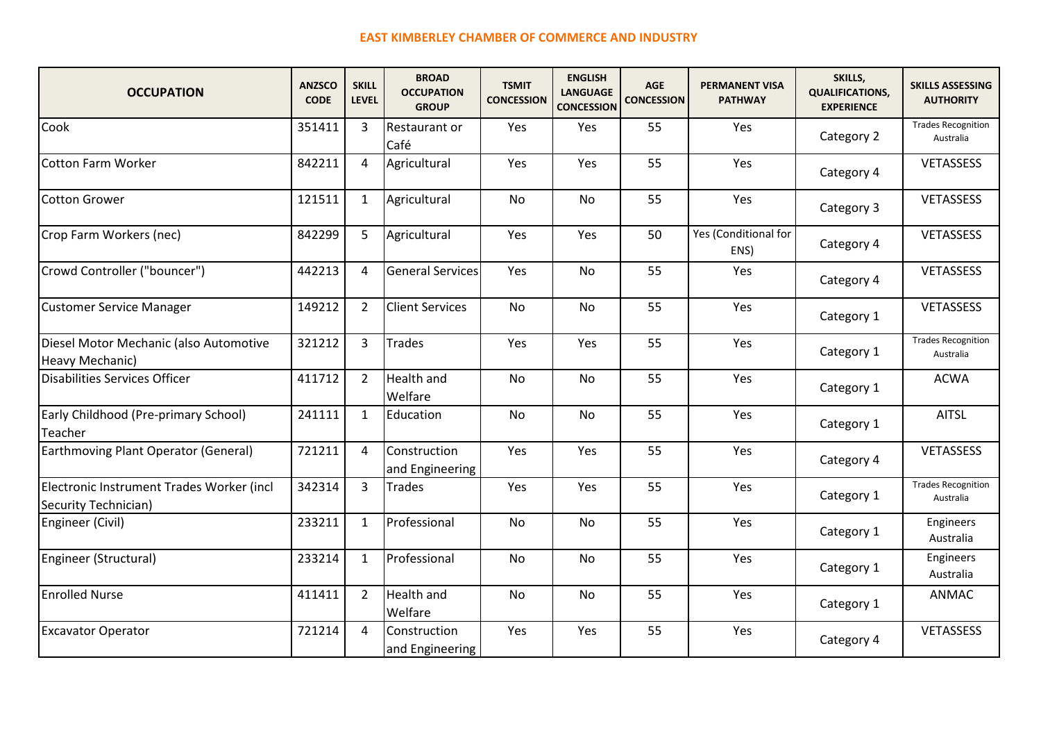| <b>OCCUPATION</b>                                                 | <b>ANZSCO</b><br><b>CODE</b> | <b>SKILL</b><br><b>LEVEL</b> | <b>BROAD</b><br><b>OCCUPATION</b><br><b>GROUP</b> | <b>TSMIT</b><br><b>CONCESSION</b> | <b>ENGLISH</b><br><b>LANGUAGE</b><br><b>CONCESSION</b> | <b>AGE</b><br><b>CONCESSION</b> | <b>PERMANENT VISA</b><br><b>PATHWAY</b> | SKILLS,<br><b>QUALIFICATIONS,</b><br><b>EXPERIENCE</b> | <b>SKILLS ASSESSING</b><br><b>AUTHORITY</b> |
|-------------------------------------------------------------------|------------------------------|------------------------------|---------------------------------------------------|-----------------------------------|--------------------------------------------------------|---------------------------------|-----------------------------------------|--------------------------------------------------------|---------------------------------------------|
| Cook                                                              | 351411                       | 3                            | Restaurant or<br>Café                             | Yes                               | Yes                                                    | 55                              | Yes                                     | Category 2                                             | <b>Trades Recognition</b><br>Australia      |
| Cotton Farm Worker                                                | 842211                       | 4                            | Agricultural                                      | Yes                               | Yes                                                    | 55                              | Yes                                     | Category 4                                             | <b>VETASSESS</b>                            |
| Cotton Grower                                                     | 121511                       | $\mathbf{1}$                 | Agricultural                                      | No                                | <b>No</b>                                              | 55                              | Yes                                     | Category 3                                             | <b>VETASSESS</b>                            |
| Crop Farm Workers (nec)                                           | 842299                       | 5                            | Agricultural                                      | Yes                               | Yes                                                    | 50                              | Yes (Conditional for<br>ENS)            | Category 4                                             | <b>VETASSESS</b>                            |
| Crowd Controller ("bouncer")                                      | 442213                       | 4                            | <b>General Services</b>                           | Yes                               | No                                                     | 55                              | Yes                                     | Category 4                                             | VETASSESS                                   |
| Customer Service Manager                                          | 149212                       | $\overline{2}$               | <b>Client Services</b>                            | No                                | No                                                     | 55                              | Yes                                     | Category 1                                             | VETASSESS                                   |
| Diesel Motor Mechanic (also Automotive<br>Heavy Mechanic)         | 321212                       | 3                            | <b>Trades</b>                                     | Yes                               | Yes                                                    | 55                              | Yes                                     | Category 1                                             | <b>Trades Recognition</b><br>Australia      |
| Disabilities Services Officer                                     | 411712                       | $\overline{2}$               | <b>Health and</b><br>Welfare                      | <b>No</b>                         | <b>No</b>                                              | 55                              | Yes                                     | Category 1                                             | <b>ACWA</b>                                 |
| Early Childhood (Pre-primary School)<br>Teacher                   | 241111                       | $\mathbf{1}$                 | Education                                         | No                                | No                                                     | 55                              | Yes                                     | Category 1                                             | <b>AITSL</b>                                |
| Earthmoving Plant Operator (General)                              | 721211                       | $\overline{4}$               | Construction<br>and Engineering                   | Yes                               | Yes                                                    | 55                              | Yes                                     | Category 4                                             | <b>VETASSESS</b>                            |
| Electronic Instrument Trades Worker (incl<br>Security Technician) | 342314                       | 3                            | <b>Trades</b>                                     | Yes                               | Yes                                                    | 55                              | Yes                                     | Category 1                                             | <b>Trades Recognition</b><br>Australia      |
| Engineer (Civil)                                                  | 233211                       | $\mathbf{1}$                 | Professional                                      | <b>No</b>                         | <b>No</b>                                              | 55                              | Yes                                     | Category 1                                             | Engineers<br>Australia                      |
| Engineer (Structural)                                             | 233214                       | 1                            | Professional                                      | No                                | <b>No</b>                                              | 55                              | Yes                                     | Category 1                                             | Engineers<br>Australia                      |
| <b>Enrolled Nurse</b>                                             | 411411                       | $\overline{2}$               | <b>Health</b> and<br>Welfare                      | No                                | <b>No</b>                                              | 55                              | Yes                                     | Category 1                                             | ANMAC                                       |
| <b>Excavator Operator</b>                                         | 721214                       | $\overline{4}$               | Construction<br>and Engineering                   | Yes                               | Yes                                                    | 55                              | Yes                                     | Category 4                                             | <b>VETASSESS</b>                            |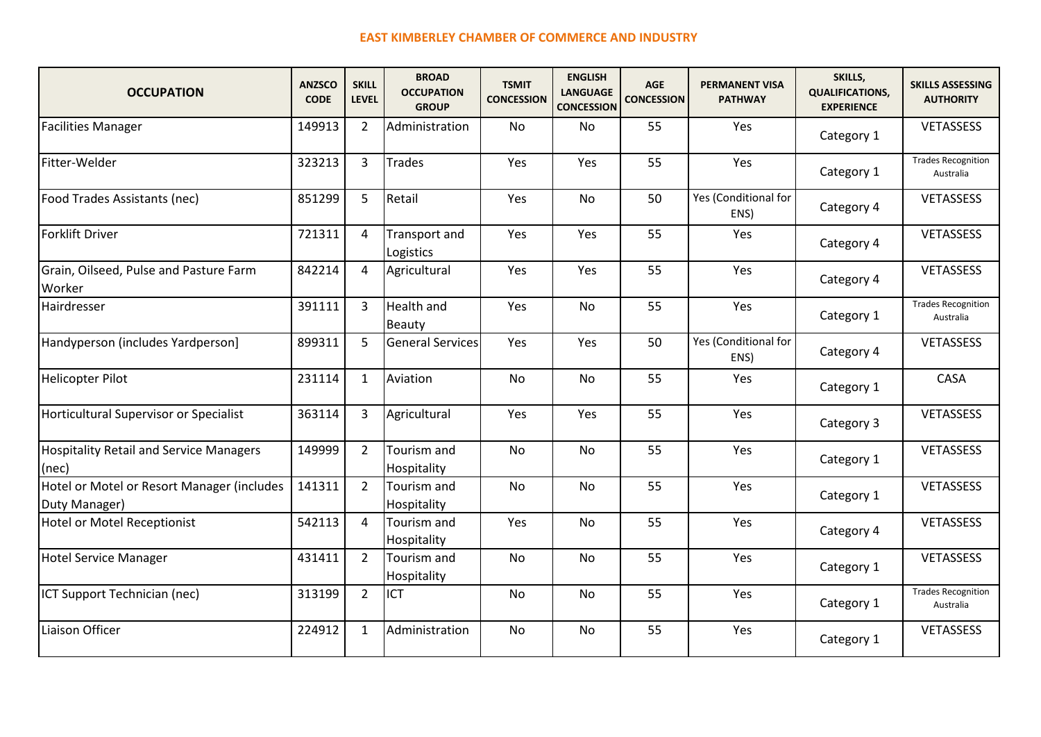| <b>OCCUPATION</b>                                           | <b>ANZSCO</b><br><b>CODE</b> | <b>SKILL</b><br><b>LEVEL</b> | <b>BROAD</b><br><b>OCCUPATION</b><br><b>GROUP</b> | <b>TSMIT</b><br><b>CONCESSION</b> | <b>ENGLISH</b><br><b>LANGUAGE</b><br><b>CONCESSION</b> | <b>AGE</b><br><b>CONCESSION</b> | <b>PERMANENT VISA</b><br><b>PATHWAY</b> | SKILLS,<br><b>QUALIFICATIONS,</b><br><b>EXPERIENCE</b> | <b>SKILLS ASSESSING</b><br><b>AUTHORITY</b> |
|-------------------------------------------------------------|------------------------------|------------------------------|---------------------------------------------------|-----------------------------------|--------------------------------------------------------|---------------------------------|-----------------------------------------|--------------------------------------------------------|---------------------------------------------|
| <b>Facilities Manager</b>                                   | 149913                       | $\overline{2}$               | Administration                                    | <b>No</b>                         | <b>No</b>                                              | 55                              | Yes                                     | Category 1                                             | <b>VETASSESS</b>                            |
| Fitter-Welder                                               | 323213                       | 3                            | <b>Trades</b>                                     | Yes                               | Yes                                                    | 55                              | Yes                                     | Category 1                                             | <b>Trades Recognition</b><br>Australia      |
| Food Trades Assistants (nec)                                | 851299                       | 5                            | Retail                                            | Yes                               | <b>No</b>                                              | 50                              | Yes (Conditional for<br>ENS)            | Category 4                                             | <b>VETASSESS</b>                            |
| Forklift Driver                                             | 721311                       | 4                            | Transport and<br>Logistics                        | Yes                               | Yes                                                    | 55                              | Yes                                     | Category 4                                             | <b>VETASSESS</b>                            |
| Grain, Oilseed, Pulse and Pasture Farm<br>Worker            | 842214                       | 4                            | Agricultural                                      | Yes                               | Yes                                                    | 55                              | Yes                                     | Category 4                                             | <b>VETASSESS</b>                            |
| <b>Hairdresser</b>                                          | 391111                       | 3                            | <b>Health and</b><br>Beauty                       | Yes                               | <b>No</b>                                              | 55                              | Yes                                     | Category 1                                             | <b>Trades Recognition</b><br>Australia      |
| Handyperson (includes Yardperson)                           | 899311                       | 5                            | General Services                                  | Yes                               | Yes                                                    | 50                              | Yes (Conditional for<br>ENS)            | Category 4                                             | <b>VETASSESS</b>                            |
| Helicopter Pilot                                            | 231114                       | 1                            | Aviation                                          | <b>No</b>                         | <b>No</b>                                              | 55                              | Yes                                     | Category 1                                             | CASA                                        |
| Horticultural Supervisor or Specialist                      | 363114                       | 3                            | Agricultural                                      | Yes                               | Yes                                                    | 55                              | Yes                                     | Category 3                                             | VETASSESS                                   |
| <b>Hospitality Retail and Service Managers</b><br>$ $ (nec) | 149999                       | $\overline{2}$               | Tourism and<br>Hospitality                        | <b>No</b>                         | <b>No</b>                                              | 55                              | Yes                                     | Category 1                                             | <b>VETASSESS</b>                            |
| Hotel or Motel or Resort Manager (includes<br>Duty Manager) | 141311                       | 2                            | Tourism and<br>Hospitality                        | <b>No</b>                         | <b>No</b>                                              | 55                              | Yes                                     | Category 1                                             | <b>VETASSESS</b>                            |
| Hotel or Motel Receptionist                                 | 542113                       | 4                            | Tourism and<br>Hospitality                        | Yes                               | <b>No</b>                                              | 55                              | Yes                                     | Category 4                                             | <b>VETASSESS</b>                            |
| Hotel Service Manager                                       | 431411                       | $\overline{2}$               | Tourism and<br>Hospitality                        | <b>No</b>                         | <b>No</b>                                              | 55                              | Yes                                     | Category 1                                             | <b>VETASSESS</b>                            |
| ICT Support Technician (nec)                                | 313199                       | $\overline{2}$               | <b>ICT</b>                                        | <b>No</b>                         | <b>No</b>                                              | 55                              | Yes                                     | Category 1                                             | <b>Trades Recognition</b><br>Australia      |
| Liaison Officer                                             | 224912                       | $\mathbf{1}$                 | Administration                                    | No                                | No                                                     | 55                              | Yes                                     | Category 1                                             | <b>VETASSESS</b>                            |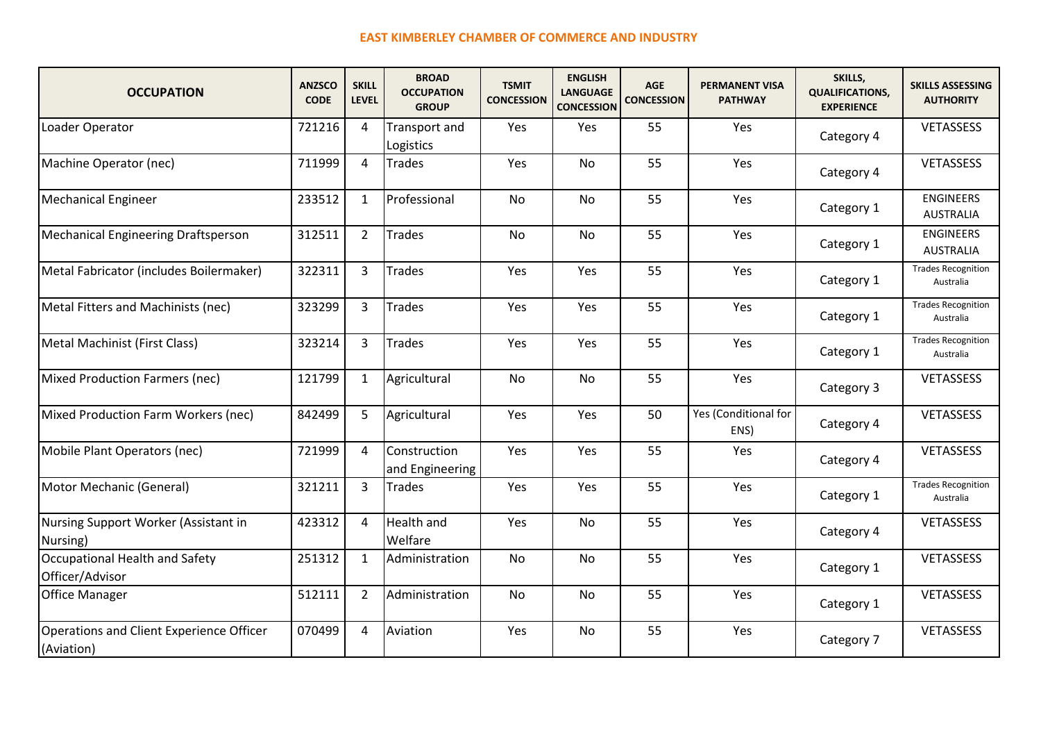| <b>OCCUPATION</b>                                      | <b>ANZSCO</b><br><b>CODE</b> | <b>SKILL</b><br><b>LEVEL</b> | <b>BROAD</b><br><b>OCCUPATION</b><br><b>GROUP</b> | <b>TSMIT</b><br><b>CONCESSION</b> | <b>ENGLISH</b><br><b>LANGUAGE</b><br><b>CONCESSION</b> | AGE<br><b>CONCESSION</b> | <b>PERMANENT VISA</b><br><b>PATHWAY</b> | SKILLS,<br><b>QUALIFICATIONS,</b><br><b>EXPERIENCE</b> | <b>SKILLS ASSESSING</b><br><b>AUTHORITY</b> |
|--------------------------------------------------------|------------------------------|------------------------------|---------------------------------------------------|-----------------------------------|--------------------------------------------------------|--------------------------|-----------------------------------------|--------------------------------------------------------|---------------------------------------------|
| Loader Operator                                        | 721216                       | 4                            | Transport and<br>Logistics                        | Yes                               | Yes                                                    | 55                       | Yes                                     | Category 4                                             | <b>VETASSESS</b>                            |
| Machine Operator (nec)                                 | 711999                       | 4                            | <b>Trades</b>                                     | Yes                               | No                                                     | 55                       | Yes                                     | Category 4                                             | <b>VETASSESS</b>                            |
| <b>Mechanical Engineer</b>                             | 233512                       | $\mathbf{1}$                 | Professional                                      | No                                | <b>No</b>                                              | 55                       | Yes                                     | Category 1                                             | <b>ENGINEERS</b><br><b>AUSTRALIA</b>        |
| Mechanical Engineering Draftsperson                    | 312511                       | $\overline{2}$               | <b>Trades</b>                                     | <b>No</b>                         | <b>No</b>                                              | 55                       | Yes                                     | Category 1                                             | <b>ENGINEERS</b><br><b>AUSTRALIA</b>        |
| Metal Fabricator (includes Boilermaker)                | 322311                       | 3                            | <b>Trades</b>                                     | Yes                               | Yes                                                    | 55                       | Yes                                     | Category 1                                             | <b>Trades Recognition</b><br>Australia      |
| Metal Fitters and Machinists (nec)                     | 323299                       | 3                            | <b>Trades</b>                                     | Yes                               | Yes                                                    | 55                       | Yes                                     | Category 1                                             | <b>Trades Recognition</b><br>Australia      |
| Metal Machinist (First Class)                          | 323214                       | 3                            | <b>Trades</b>                                     | Yes                               | Yes                                                    | 55                       | Yes                                     | Category 1                                             | <b>Trades Recognition</b><br>Australia      |
| Mixed Production Farmers (nec)                         | 121799                       | 1                            | Agricultural                                      | No                                | <b>No</b>                                              | 55                       | Yes                                     | Category 3                                             | VETASSESS                                   |
| Mixed Production Farm Workers (nec)                    | 842499                       | 5                            | Agricultural                                      | Yes                               | Yes                                                    | 50                       | Yes (Conditional for<br>ENS)            | Category 4                                             | VETASSESS                                   |
| Mobile Plant Operators (nec)                           | 721999                       | $\overline{4}$               | Construction<br>and Engineering                   | Yes                               | Yes                                                    | 55                       | Yes                                     | Category 4                                             | VETASSESS                                   |
| Motor Mechanic (General)                               | 321211                       | 3                            | Trades                                            | Yes                               | Yes                                                    | 55                       | Yes                                     | Category 1                                             | <b>Trades Recognition</b><br>Australia      |
| Nursing Support Worker (Assistant in<br>Nursing)       | 423312                       | 4                            | <b>Health and</b><br>Welfare                      | Yes                               | <b>No</b>                                              | 55                       | Yes                                     | Category 4                                             | <b>VETASSESS</b>                            |
| Occupational Health and Safety<br>Officer/Advisor      | 251312                       | 1                            | Administration                                    | No                                | <b>No</b>                                              | 55                       | Yes                                     | Category 1                                             | <b>VETASSESS</b>                            |
| <b>Office Manager</b>                                  | 512111                       | $\overline{2}$               | Administration                                    | No                                | <b>No</b>                                              | 55                       | Yes                                     | Category 1                                             | <b>VETASSESS</b>                            |
| Operations and Client Experience Officer<br>(Aviation) | 070499                       | 4                            | Aviation                                          | Yes                               | <b>No</b>                                              | 55                       | Yes                                     | Category 7                                             | VETASSESS                                   |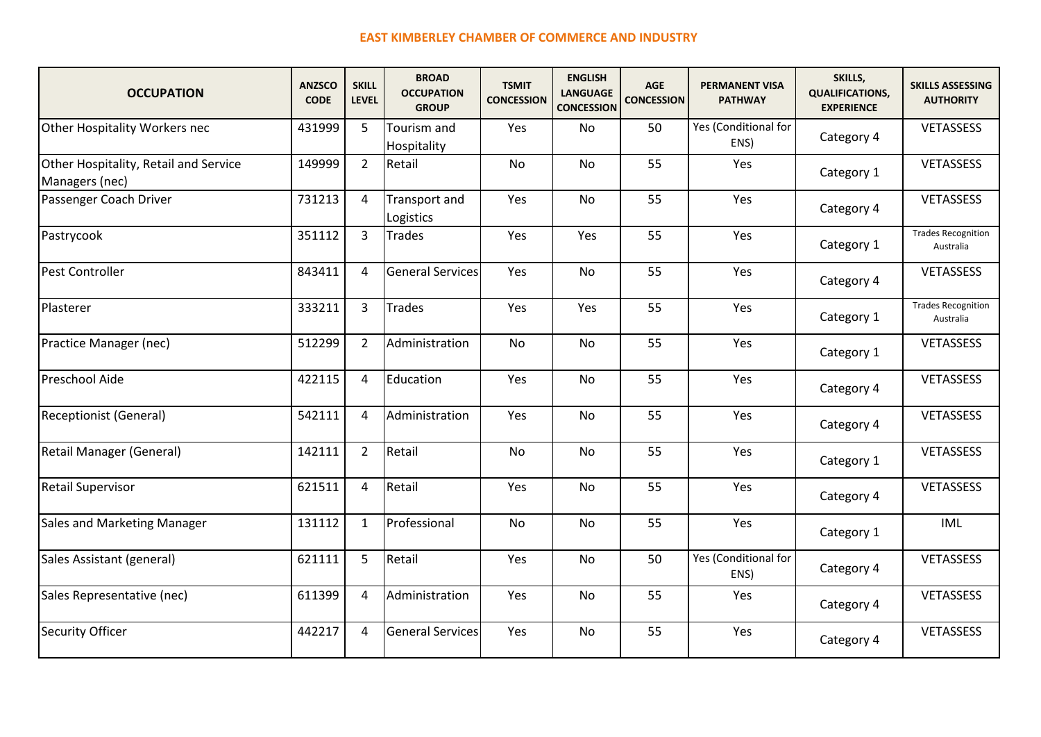| <b>OCCUPATION</b>                                       | <b>ANZSCO</b><br><b>CODE</b> | <b>SKILL</b><br><b>LEVEL</b> | <b>BROAD</b><br><b>OCCUPATION</b><br><b>GROUP</b> | <b>TSMIT</b><br><b>CONCESSION</b> | <b>ENGLISH</b><br><b>LANGUAGE</b><br><b>CONCESSION</b> | AGE<br><b>CONCESSION</b> | <b>PERMANENT VISA</b><br><b>PATHWAY</b> | SKILLS,<br><b>QUALIFICATIONS,</b><br><b>EXPERIENCE</b> | <b>SKILLS ASSESSING</b><br><b>AUTHORITY</b> |
|---------------------------------------------------------|------------------------------|------------------------------|---------------------------------------------------|-----------------------------------|--------------------------------------------------------|--------------------------|-----------------------------------------|--------------------------------------------------------|---------------------------------------------|
| Other Hospitality Workers nec                           | 431999                       | 5                            | Tourism and<br>Hospitality                        | Yes                               | No.                                                    | 50                       | Yes (Conditional for<br>ENS)            | Category 4                                             | <b>VETASSESS</b>                            |
| Other Hospitality, Retail and Service<br>Managers (nec) | 149999                       | $\overline{2}$               | Retail                                            | No                                | No                                                     | 55                       | Yes                                     | Category 1                                             | <b>VETASSESS</b>                            |
| Passenger Coach Driver                                  | 731213                       | 4                            | Transport and<br>Logistics                        | Yes                               | No                                                     | 55                       | Yes                                     | Category 4                                             | VETASSESS                                   |
| Pastrycook                                              | 351112                       | 3                            | <b>Trades</b>                                     | Yes                               | Yes                                                    | 55                       | Yes                                     | Category 1                                             | <b>Trades Recognition</b><br>Australia      |
| Pest Controller                                         | 843411                       | 4                            | General Services                                  | Yes                               | <b>No</b>                                              | 55                       | Yes                                     | Category 4                                             | VETASSESS                                   |
| Plasterer                                               | 333211                       | 3                            | <b>Trades</b>                                     | Yes                               | Yes                                                    | 55                       | Yes                                     | Category 1                                             | <b>Trades Recognition</b><br>Australia      |
| Practice Manager (nec)                                  | 512299                       | $\overline{2}$               | Administration                                    | No                                | <b>No</b>                                              | 55                       | Yes                                     | Category 1                                             | <b>VETASSESS</b>                            |
| Preschool Aide                                          | 422115                       | 4                            | Education                                         | Yes                               | <b>No</b>                                              | 55                       | Yes                                     | Category 4                                             | VETASSESS                                   |
| <b>Receptionist (General)</b>                           | 542111                       | 4                            | Administration                                    | Yes                               | No                                                     | 55                       | Yes                                     | Category 4                                             | VETASSESS                                   |
| Retail Manager (General)                                | 142111                       | $\overline{2}$               | Retail                                            | <b>No</b>                         | <b>No</b>                                              | 55                       | Yes                                     | Category 1                                             | <b>VETASSESS</b>                            |
| <b>Retail Supervisor</b>                                | 621511                       | 4                            | Retail                                            | Yes                               | <b>No</b>                                              | 55                       | Yes                                     | Category 4                                             | VETASSESS                                   |
| <b>Sales and Marketing Manager</b>                      | 131112                       | 1                            | Professional                                      | No                                | <b>No</b>                                              | 55                       | Yes                                     | Category 1                                             | <b>IML</b>                                  |
| Sales Assistant (general)                               | 621111                       | 5                            | Retail                                            | Yes                               | <b>No</b>                                              | 50                       | Yes (Conditional for<br>ENS)            | Category 4                                             | <b>VETASSESS</b>                            |
| Sales Representative (nec)                              | 611399                       | 4                            | Administration                                    | Yes                               | <b>No</b>                                              | 55                       | Yes                                     | Category 4                                             | VETASSESS                                   |
| <b>Security Officer</b>                                 | 442217                       | 4                            | <b>General Services</b>                           | Yes                               | <b>No</b>                                              | 55                       | Yes                                     | Category 4                                             | VETASSESS                                   |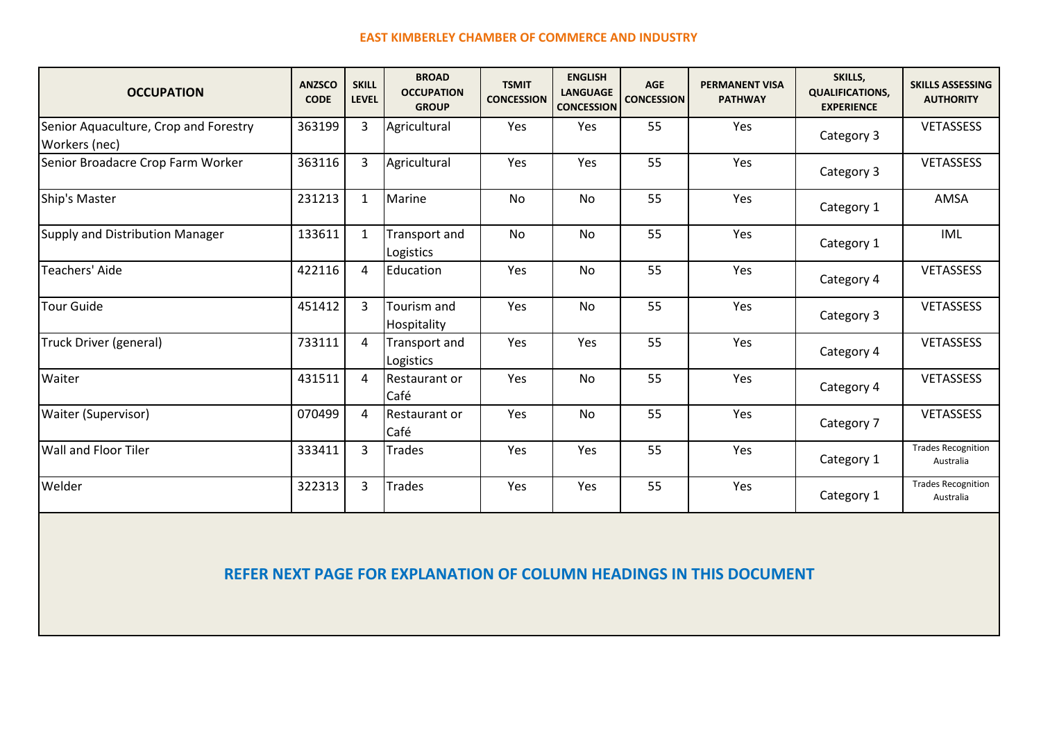| <b>OCCUPATION</b>                                      | <b>ANZSCO</b><br><b>CODE</b> | <b>SKILL</b><br><b>LEVEL</b> | <b>BROAD</b><br><b>OCCUPATION</b><br><b>GROUP</b> | <b>TSMIT</b><br><b>CONCESSION</b> | <b>ENGLISH</b><br><b>LANGUAGE</b><br><b>CONCESSION</b> | <b>AGE</b><br><b>CONCESSION</b> | <b>PERMANENT VISA</b><br><b>PATHWAY</b> | SKILLS,<br><b>QUALIFICATIONS,</b><br><b>EXPERIENCE</b> | <b>SKILLS ASSESSING</b><br><b>AUTHORITY</b> |
|--------------------------------------------------------|------------------------------|------------------------------|---------------------------------------------------|-----------------------------------|--------------------------------------------------------|---------------------------------|-----------------------------------------|--------------------------------------------------------|---------------------------------------------|
| Senior Aquaculture, Crop and Forestry<br>Workers (nec) | 363199                       | 3                            | Agricultural                                      | Yes                               | Yes                                                    | 55                              | Yes                                     | Category 3                                             | VETASSESS                                   |
| Senior Broadacre Crop Farm Worker                      | 363116                       | 3                            | Agricultural                                      | Yes                               | Yes                                                    | 55                              | Yes                                     | Category 3                                             | <b>VETASSESS</b>                            |
| Ship's Master                                          | 231213                       | 1                            | Marine                                            | No                                | No                                                     | 55                              | Yes                                     | Category 1                                             | AMSA                                        |
| Supply and Distribution Manager                        | 133611                       | $\mathbf{1}$                 | Transport and<br>Logistics                        | <b>No</b>                         | <b>No</b>                                              | 55                              | Yes                                     | Category 1                                             | IML                                         |
| Teachers' Aide                                         | 422116                       | 4                            | Education                                         | Yes                               | <b>No</b>                                              | 55                              | Yes                                     | Category 4                                             | <b>VETASSESS</b>                            |
| <b>Tour Guide</b>                                      | 451412                       | 3                            | Tourism and<br>Hospitality                        | Yes                               | <b>No</b>                                              | 55                              | Yes                                     | Category 3                                             | <b>VETASSESS</b>                            |
| Truck Driver (general)                                 | 733111                       | 4                            | Transport and<br>Logistics                        | Yes                               | Yes                                                    | 55                              | Yes                                     | Category 4                                             | <b>VETASSESS</b>                            |
| Waiter                                                 | 431511                       | 4                            | Restaurant or<br>Café                             | Yes                               | No                                                     | 55                              | Yes                                     | Category 4                                             | <b>VETASSESS</b>                            |
| Waiter (Supervisor)                                    | 070499                       | 4                            | Restaurant or<br>Café                             | Yes                               | <b>No</b>                                              | 55                              | Yes                                     | Category 7                                             | <b>VETASSESS</b>                            |
| Wall and Floor Tiler                                   | 333411                       | 3                            | Trades                                            | Yes                               | Yes                                                    | 55                              | Yes                                     | Category 1                                             | <b>Trades Recognition</b><br>Australia      |
| Welder                                                 | 322313                       | 3                            | <b>Trades</b>                                     | Yes                               | Yes                                                    | 55                              | Yes                                     | Category 1                                             | <b>Trades Recognition</b><br>Australia      |

**REFER NEXT PAGE FOR EXPLANATION OF COLUMN HEADINGS IN THIS DOCUMENT**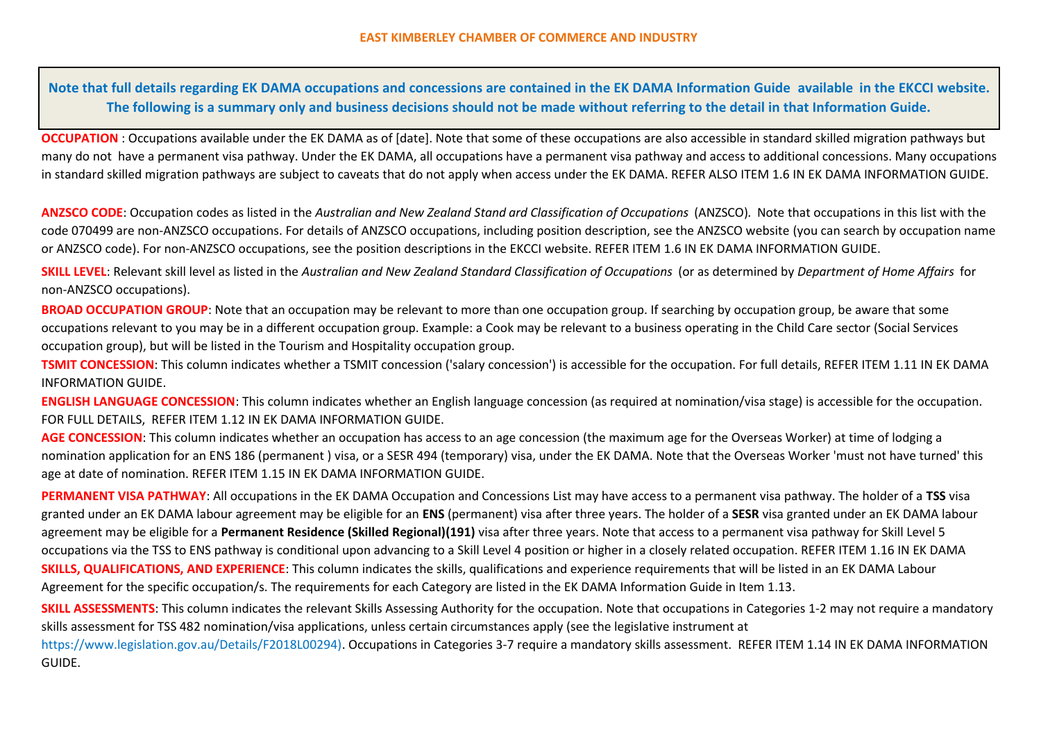**Note that full details regarding EK DAMA occupations and concessions are contained in the EK DAMA Information Guide available in the EKCCI website. The following is a summary only and business decisions should not be made without referring to the detail in that Information Guide.**

**OCCUPATION** : Occupations available under the EK DAMA as of [date]. Note that some of these occupations are also accessible in standard skilled migration pathways but many do not have a permanent visa pathway. Under the EK DAMA, all occupations have a permanent visa pathway and access to additional concessions. Many occupations in standard skilled migration pathways are subject to caveats that do not apply when access under the EK DAMA. REFER ALSO ITEM 1.6 IN EK DAMA INFORMATION GUIDE.

**ANZSCO CODE**: Occupation codes as listed in the *Australian and New Zealand Stand ard Classification of Occupations* (ANZSCO)*.* Note that occupations in this list with the code 070499 are non-ANZSCO occupations. For details of ANZSCO occupations, including position description, see the ANZSCO website (you can search by occupation name or ANZSCO code). For non-ANZSCO occupations, see the position descriptions in the EKCCI website. REFER ITEM 1.6 IN EK DAMA INFORMATION GUIDE.

**SKILL LEVEL**: Relevant skill level as listed in the *Australian and New Zealand Standard Classification of Occupations* (or as determined by *Department of Home Affairs* for non-ANZSCO occupations).

**BROAD OCCUPATION GROUP**: Note that an occupation may be relevant to more than one occupation group. If searching by occupation group, be aware that some occupations relevant to you may be in a different occupation group. Example: a Cook may be relevant to a business operating in the Child Care sector (Social Services occupation group), but will be listed in the Tourism and Hospitality occupation group.

**TSMIT CONCESSION**: This column indicates whether a TSMIT concession ('salary concession') is accessible for the occupation. For full details, REFER ITEM 1.11 IN EK DAMA INFORMATION GUIDE.

**ENGLISH LANGUAGE CONCESSION**: This column indicates whether an English language concession (as required at nomination/visa stage) is accessible for the occupation. FOR FULL DETAILS, REFER ITEM 1.12 IN EK DAMA INFORMATION GUIDE.

**AGE CONCESSION**: This column indicates whether an occupation has access to an age concession (the maximum age for the Overseas Worker) at time of lodging a nomination application for an ENS 186 (permanent ) visa, or a SESR 494 (temporary) visa, under the EK DAMA. Note that the Overseas Worker 'must not have turned' this age at date of nomination. REFER ITEM 1.15 IN EK DAMA INFORMATION GUIDE.

**PERMANENT VISA PATHWAY**: All occupations in the EK DAMA Occupation and Concessions List may have access to a permanent visa pathway. The holder of a **TSS** visa granted under an EK DAMA labour agreement may be eligible for an **ENS** (permanent) visa after three years. The holder of a **SESR** visa granted under an EK DAMA labour agreement may be eligible for a **Permanent Residence (Skilled Regional)(191)** visa after three years. Note that access to a permanent visa pathway for Skill Level 5 occupations via the TSS to ENS pathway is conditional upon advancing to a Skill Level 4 position or higher in a closely related occupation. REFER ITEM 1.16 IN EK DAMA **SKILLS, QUALIFICATIONS, AND EXPERIENCE**: This column indicates the skills, qualifications and experience requirements that will be listed in an EK DAMA Labour Agreement for the specific occupation/s. The requirements for each Category are listed in the EK DAMA Information Guide in Item 1.13.

**SKILL ASSESSMENTS**: This column indicates the relevant Skills Assessing Authority for the occupation. Note that occupations in Categories 1-2 may not require a mandatory skills assessment for TSS 482 nomination/visa applications, unless certain circumstances apply (see the legislative instrument at

https://www.legislation.gov.au/Details/F2018L00294). Occupations in Categories 3-7 require a mandatory skills assessment. REFER ITEM 1.14 IN EK DAMA INFORMATION GUIDE.